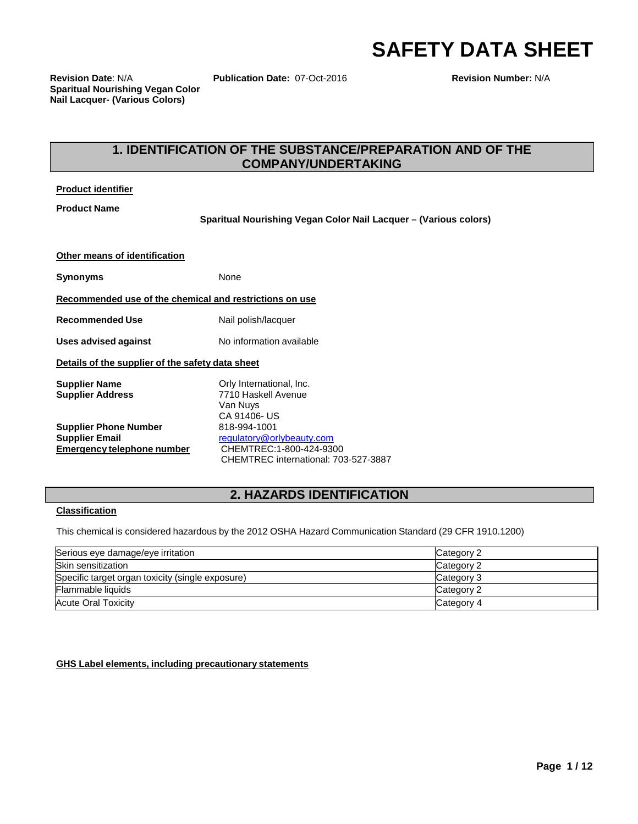# **SAFETY DATA SHEET**

**Revision Date**: N/A **Publication Date:** 07-Oct-2016 **Revision Number:** N/A **Sparitual Nourishing Vegan Color Nail Lacquer- (Various Colors)**

# **1. IDENTIFICATION OF THE SUBSTANCE/PREPARATION AND OF THE COMPANY/UNDERTAKING**

#### **Product identifier**

**Product Name**

**Sparitual Nourishing Vegan Color Nail Lacquer – (Various colors)**

| Other means of identification                                                              |                                                                                                              |
|--------------------------------------------------------------------------------------------|--------------------------------------------------------------------------------------------------------------|
| Synonyms                                                                                   | None                                                                                                         |
| Recommended use of the chemical and restrictions on use                                    |                                                                                                              |
| <b>Recommended Use</b>                                                                     | Nail polish/lacquer                                                                                          |
| <b>Uses advised against</b>                                                                | No information available                                                                                     |
| Details of the supplier of the safety data sheet                                           |                                                                                                              |
| <b>Supplier Name</b><br><b>Supplier Address</b>                                            | Orly International, Inc.<br>7710 Haskell Avenue<br>Van Nuys<br>CA 91406-US                                   |
| <b>Supplier Phone Number</b><br><b>Supplier Email</b><br><b>Emergency telephone number</b> | 818-994-1001<br>regulatory@orlybeauty.com<br>CHEMTREC:1-800-424-9300<br>CHEMTREC international: 703-527-3887 |

# **2. HAZARDS IDENTIFICATION**

#### **Classification**

This chemical is considered hazardous by the 2012 OSHA Hazard Communication Standard (29 CFR 1910.1200)

| Serious eye damage/eye irritation                | Category 2 |
|--------------------------------------------------|------------|
| Skin sensitization                               | Category 2 |
| Specific target organ toxicity (single exposure) | Category 3 |
| Flammable liquids                                | Category 2 |
| Acute Oral Toxicity                              | Category 4 |

**GHS Label elements, including precautionary statements**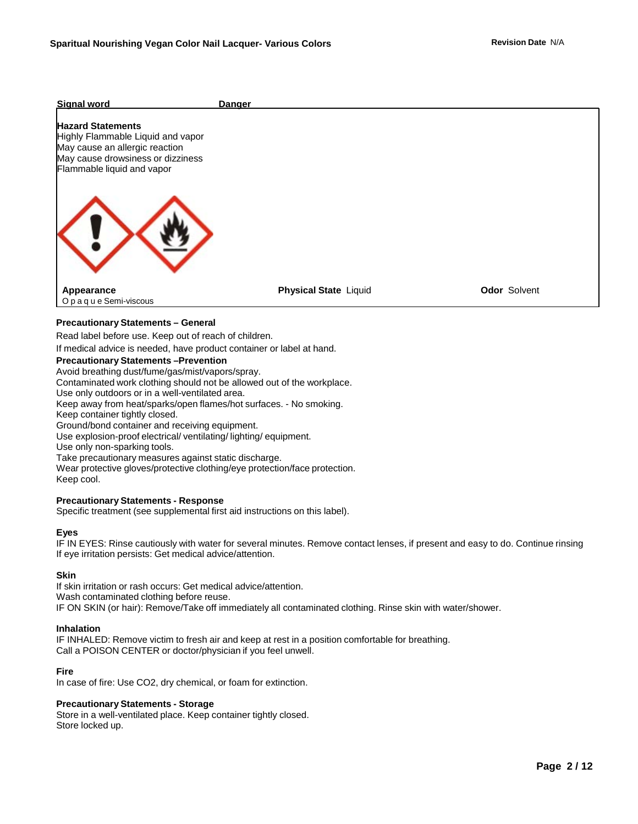# **Signal word Danger Hazard Statements** Highly Flammable Liquid and vapor May cause an allergic reaction May cause drowsiness or dizziness Flammable liquid and vapor **Appearance** Opaque Semi-viscous **Physical State** Liquid **Constanting Constanting Odor** Solvent **Precautionary Statements – General** Read label before use. Keep out of reach of children. If medical advice is needed, have product container or label at hand. **Precautionary Statements –Prevention** Avoid breathing dust/fume/gas/mist/vapors/spray. Contaminated work clothing should not be allowed out of the workplace. Use only outdoors or in a well-ventilated area. Keep away from heat/sparks/open flames/hot surfaces. - No smoking. Keep container tightly closed. Ground/bond container and receiving equipment.

Use explosion-proof electrical/ ventilating/ lighting/ equipment.

Use only non-sparking tools.

Take precautionary measures against static discharge.

Wear protective gloves/protective clothing/eye protection/face protection. Keep cool.

#### **Precautionary Statements - Response**

Specific treatment (see supplemental first aid instructions on this label).

#### **Eyes**

IF IN EYES: Rinse cautiously with water for several minutes. Remove contact lenses, if present and easy to do. Continue rinsing If eye irritation persists: Get medical advice/attention.

#### **Skin**

If skin irritation or rash occurs: Get medical advice/attention. Wash contaminated clothing before reuse. IF ON SKIN (or hair): Remove/Take off immediately all contaminated clothing. Rinse skin with water/shower.

#### **Inhalation**

IF INHALED: Remove victim to fresh air and keep at rest in a position comfortable for breathing. Call a POISON CENTER or doctor/physician if you feel unwell.

#### **Fire**

In case of fire: Use CO2, dry chemical, or foam for extinction.

#### **Precautionary Statements - Storage**

Store in a well-ventilated place. Keep container tightly closed. Store locked up.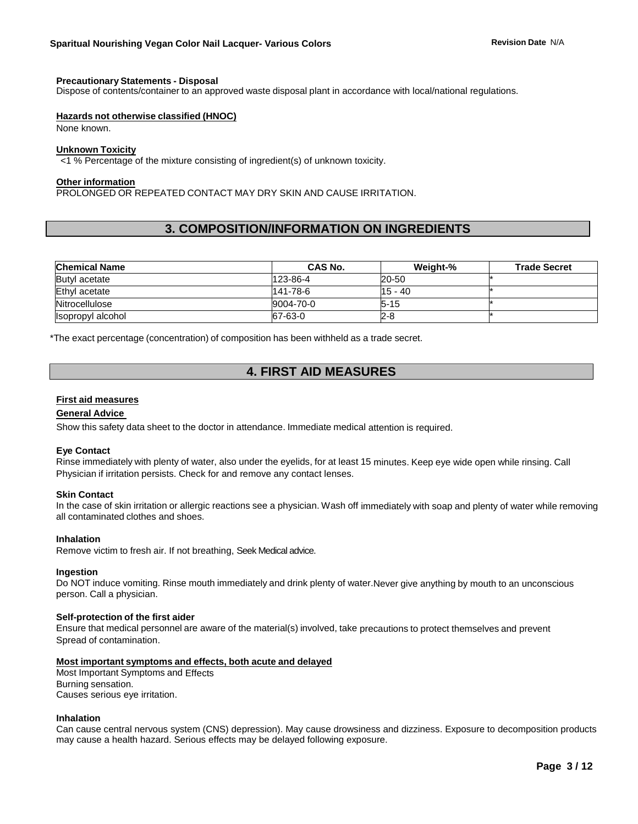#### **Precautionary Statements - Disposal**

Dispose of contents/container to an approved waste disposal plant in accordance with local/national regulations.

#### **Hazards not otherwise classified (HNOC)**

None known.

#### **Unknown Toxicity**

<1 % Percentage of the mixture consisting of ingredient(s) of unknown toxicity.

#### **Other information**

PROLONGED OR REPEATED CONTACT MAY DRY SKIN AND CAUSE IRRITATION.

# **3. COMPOSITION/INFORMATION ON INGREDIENTS**

| <b>Chemical Name</b> | <b>CAS No.</b> | Weight-%  | <b>Trade Secret</b> |
|----------------------|----------------|-----------|---------------------|
| Butyl acetate        | 123-86-4       | 20-50     |                     |
| Ethyl acetate        | 141-78-6       | $15 - 40$ |                     |
| Nitrocellulose       | 9004-70-0      | $5 - 15$  |                     |
| Isopropyl alcohol    | 67-63-0        | 2-8       |                     |

\*The exact percentage (concentration) of composition has been withheld as a trade secret.

# **4. FIRST AID MEASURES**

#### **First aid measures**

#### **General Advice**

Show this safety data sheet to the doctor in attendance. Immediate medical attention is required.

#### **Eye Contact**

Rinse immediately with plenty of water, also under the eyelids, for at least 15 minutes. Keep eye wide open while rinsing. Call Physician if irritation persists. Check for and remove any contact lenses.

#### **Skin Contact**

In the case of skin irritation or allergic reactions see a physician. Wash off immediately with soap and plenty of water while removing all contaminated clothes and shoes.

#### **Inhalation**

Remove victim to fresh air. If not breathing, Seek Medical advice.

#### **Ingestion**

Do NOT induce vomiting. Rinse mouth immediately and drink plenty of water.Never give anything by mouth to an unconscious person. Call a physician.

#### **Self-protection of the first aider**

Ensure that medical personnel are aware of the material(s) involved, take precautions to protect themselves and prevent Spread of contamination.

#### **Most important symptoms and effects, both acute and delayed**

Most Important Symptoms and Effects Burning sensation. Causes serious eye irritation.

#### **Inhalation**

Can cause central nervous system (CNS) depression). May cause drowsiness and dizziness. Exposure to decomposition products may cause a health hazard. Serious effects may be delayed following exposure.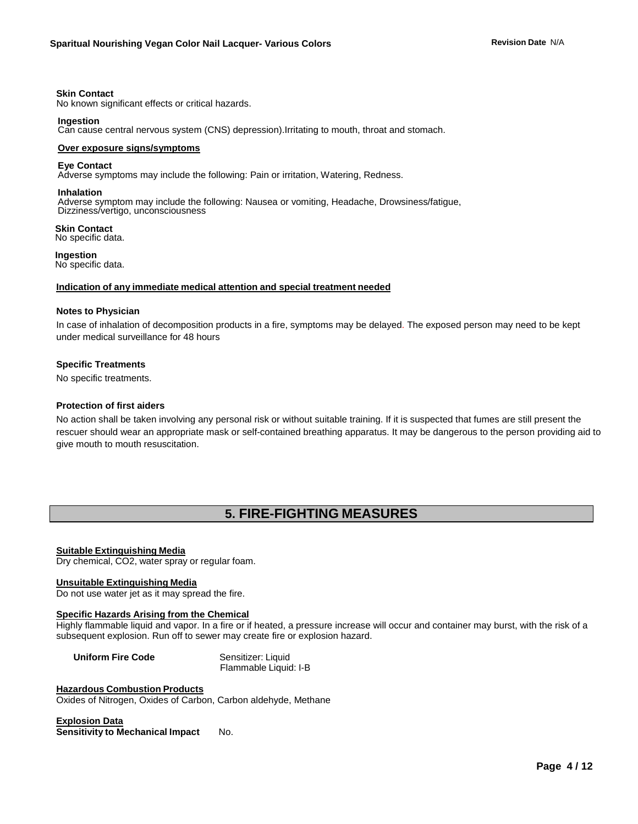#### **Skin Contact**

No known significant effects or critical hazards.

#### **Ingestion**

Can cause central nervous system (CNS) depression).Irritating to mouth, throat and stomach.

#### **Over exposure signs/symptoms**

#### **Eye Contact**

Adverse symptoms may include the following: Pain or irritation, Watering, Redness.

#### **Inhalation**

Adverse symptom may include the following: Nausea or vomiting, Headache, Drowsiness/fatigue, Dizziness/vertigo, unconsciousness

 **Skin Contact** No specific data.

 **Ingestion** No specific data.

#### **Indication of any immediate medical attention and special treatment needed**

#### **Notes to Physician**

In case of inhalation of decomposition products in a fire, symptoms may be delayed. The exposed person may need to be kept under medical surveillance for 48 hours

#### **Specific Treatments**

No specific treatments.

#### **Protection of first aiders**

No action shall be taken involving any personal risk or without suitable training. If it is suspected that fumes are still present the rescuer should wear an appropriate mask or self-contained breathing apparatus. It may be dangerous to the person providing aid to give mouth to mouth resuscitation.

# **5. FIRE-FIGHTING MEASURES**

#### **Suitable Extinguishing Media**

Dry chemical, CO2, water spray or regular foam.

#### **Unsuitable Extinguishing Media**

Do not use water jet as it may spread the fire.

#### **Specific Hazards Arising from the Chemical**

Highly flammable liquid and vapor. In a fire or if heated, a pressure increase will occur and container may burst, with the risk of a subsequent explosion. Run off to sewer may create fire or explosion hazard.

**Uniform Fire Code** Sensitizer: Liquid

Flammable Liquid: I-B

#### **Hazardous Combustion Products**

Oxides of Nitrogen, Oxides of Carbon, Carbon aldehyde, Methane

#### **Explosion Data**

**Sensitivity to Mechanical Impact** No.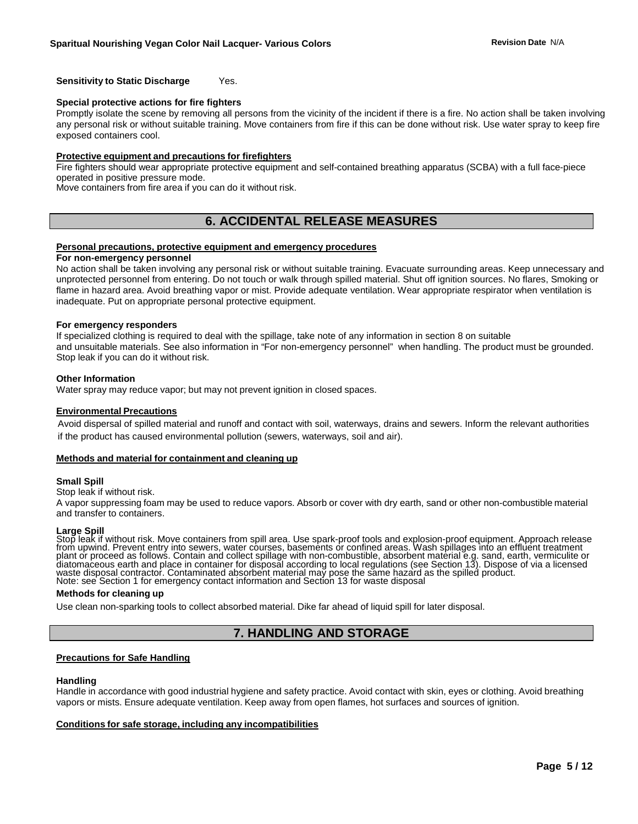#### **Sensitivity to Static Discharge** Yes.

#### **Special protective actions for fire fighters**

Promptly isolate the scene by removing all persons from the vicinity of the incident if there is a fire. No action shall be taken involving any personal risk or without suitable training. Move containers from fire if this can be done without risk. Use water spray to keep fire exposed containers cool.

#### **Protective equipment and precautions for firefighters**

Fire fighters should wear appropriate protective equipment and self-contained breathing apparatus (SCBA) with a full face-piece operated in positive pressure mode.

Move containers from fire area if you can do it without risk.

# **6. ACCIDENTAL RELEASE MEASURES**

#### **Personal precautions, protective equipment and emergency procedures**

#### **For non-emergency personnel**

No action shall be taken involving any personal risk or without suitable training. Evacuate surrounding areas. Keep unnecessary and unprotected personnel from entering. Do not touch or walk through spilled material. Shut off ignition sources. No flares, Smoking or flame in hazard area. Avoid breathing vapor or mist. Provide adequate ventilation. Wear appropriate respirator when ventilation is inadequate. Put on appropriate personal protective equipment.

#### **For emergency responders**

If specialized clothing is required to deal with the spillage, take note of any information in section 8 on suitable and unsuitable materials. See also information in "For non-emergency personnel" when handling. The product must be grounded. Stop leak if you can do it without risk.

#### **Other Information**

Water spray may reduce vapor; but may not prevent ignition in closed spaces.

#### **Environmental Precautions**

 Avoid dispersal of spilled material and runoff and contact with soil, waterways, drains and sewers. Inform the relevant authorities if the product has caused environmental pollution (sewers, waterways, soil and air).

#### **Methods and material for containment and cleaning up**

#### **Small Spill**

#### Stop leak if without risk.

A vapor suppressing foam may be used to reduce vapors. Absorb or cover with dry earth, sand or other non-combustible material and transfer to containers.

#### **Large Spill**

Stop leak if without risk. Move containers from spill area. Use spark-proof tools and explosion-proof equipment. Approach release from upwind. Prevent entry into sewers, water courses, basements or confined areas. Wash spillages into an effluent treatment<br>plant or proceed as follows. Contain and collect spillage with non-combustible, absorbent materi diatomaceous earth and place in container for disposal according to local regulations (see Section 13). Dispose of via a licensed waste disposal contractor. Contaminated absorbent material may pose the same hazard as the spilled product. Note: see Section 1 for emergency contact information and Section 13 for waste disposal

#### **Methods for cleaning up**

Use clean non-sparking tools to collect absorbed material. Dike far ahead of liquid spill for later disposal.

## **7. HANDLING AND STORAGE**

#### **Precautions for Safe Handling**

#### **Handling**

Handle in accordance with good industrial hygiene and safety practice. Avoid contact with skin, eyes or clothing. Avoid breathing vapors or mists. Ensure adequate ventilation. Keep away from open flames, hot surfaces and sources of ignition.

#### **Conditions for safe storage, including any incompatibilities**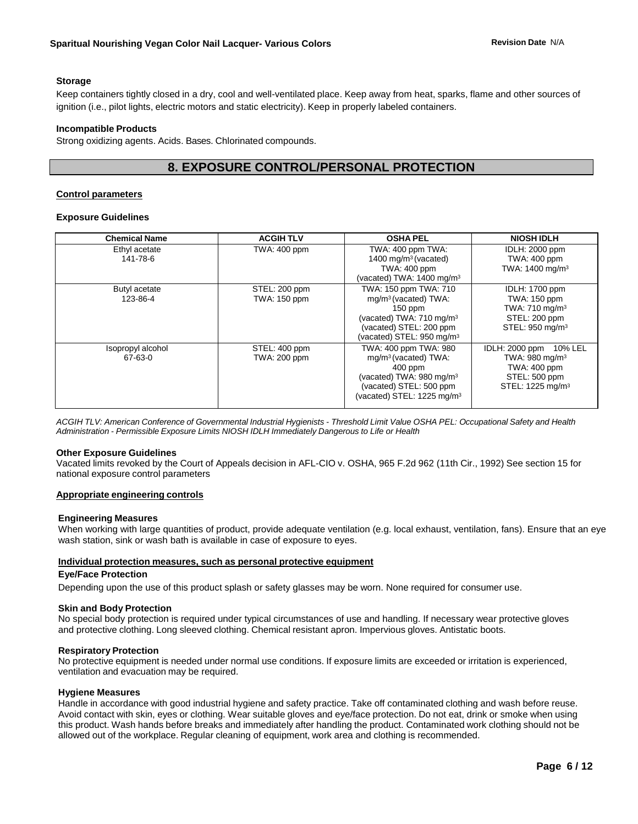#### **Storage**

Keep containers tightly closed in a dry, cool and well-ventilated place. Keep away from heat, sparks, flame and other sources of ignition (i.e., pilot lights, electric motors and static electricity). Keep in properly labeled containers.

#### **Incompatible Products**

Strong oxidizing agents. Acids. Bases. Chlorinated compounds.

# **8. EXPOSURE CONTROL/PERSONAL PROTECTION**

#### **Control parameters**

#### **Exposure Guidelines**

| <b>Chemical Name</b>         | <b>ACGIHTLV</b>               | <b>OSHA PEL</b>                                                                                                                                                                     | <b>NIOSH IDLH</b>                                                                                                        |
|------------------------------|-------------------------------|-------------------------------------------------------------------------------------------------------------------------------------------------------------------------------------|--------------------------------------------------------------------------------------------------------------------------|
| Ethyl acetate<br>141-78-6    | TWA: 400 ppm                  | TWA: 400 ppm TWA:<br>1400 mg/m <sup>3</sup> (vacated)<br>TWA: 400 ppm<br>(vacated) TWA: 1400 mg/m <sup>3</sup>                                                                      | <b>IDLH: 2000 ppm</b><br><b>TWA: 400 ppm</b><br>TWA: $1400 \text{ mg/m}^3$                                               |
| Butyl acetate<br>123-86-4    | STEL: 200 ppm<br>TWA: 150 ppm | TWA: 150 ppm TWA: 710<br>mg/m <sup>3</sup> (vacated) TWA:<br>$150$ ppm<br>(vacated) TWA: 710 mg/m <sup>3</sup><br>(vacated) STEL: 200 ppm<br>(vacated) STEL: 950 mg/m <sup>3</sup>  | <b>IDLH: 1700 ppm</b><br>TWA: 150 ppm<br>TWA: $710 \text{ mg/m}^3$<br>STEL: 200 ppm<br>STEL: 950 mg/m <sup>3</sup>       |
| Isopropyl alcohol<br>67-63-0 | STEL: 400 ppm<br>TWA: 200 ppm | TWA: 400 ppm TWA: 980<br>mg/m <sup>3</sup> (vacated) TWA:<br>$400$ ppm<br>(vacated) TWA: 980 mg/m <sup>3</sup><br>(vacated) STEL: 500 ppm<br>(vacated) STEL: 1225 mg/m <sup>3</sup> | IDLH: 2000 ppm<br>10% LEL<br>TWA: 980 mg/m <sup>3</sup><br>TWA: 400 ppm<br>STEL: 500 ppm<br>STEL: 1225 mg/m <sup>3</sup> |

ACGIH TLV: American Conference of Governmental Industrial Hygienists - Threshold Limit Value OSHA PEL: Occupational Safety and Health *Administration - Permissible Exposure Limits NIOSH IDLH Immediately Dangerous to Life or Health*

#### **Other Exposure Guidelines**

Vacated limits revoked by the Court of Appeals decision in AFL-CIO v. OSHA, 965 F.2d 962 (11th Cir., 1992) See section 15 for national exposure control parameters

#### **Appropriate engineering controls**

#### **Engineering Measures**

When working with large quantities of product, provide adequate ventilation (e.g. local exhaust, ventilation, fans). Ensure that an eye wash station, sink or wash bath is available in case of exposure to eyes.

#### **Individual protection measures, such as personal protective equipment**

#### **Eye/Face Protection**

Depending upon the use of this product splash or safety glasses may be worn. None required for consumer use.

#### **Skin and Body Protection**

No special body protection is required under typical circumstances of use and handling. If necessary wear protective gloves and protective clothing. Long sleeved clothing. Chemical resistant apron. Impervious gloves. Antistatic boots.

#### **Respiratory Protection**

No protective equipment is needed under normal use conditions. If exposure limits are exceeded or irritation is experienced, ventilation and evacuation may be required.

#### **Hygiene Measures**

Handle in accordance with good industrial hygiene and safety practice. Take off contaminated clothing and wash before reuse. Avoid contact with skin, eyes or clothing. Wear suitable gloves and eye/face protection. Do not eat, drink or smoke when using this product. Wash hands before breaks and immediately after handling the product. Contaminated work clothing should not be allowed out of the workplace. Regular cleaning of equipment, work area and clothing is recommended.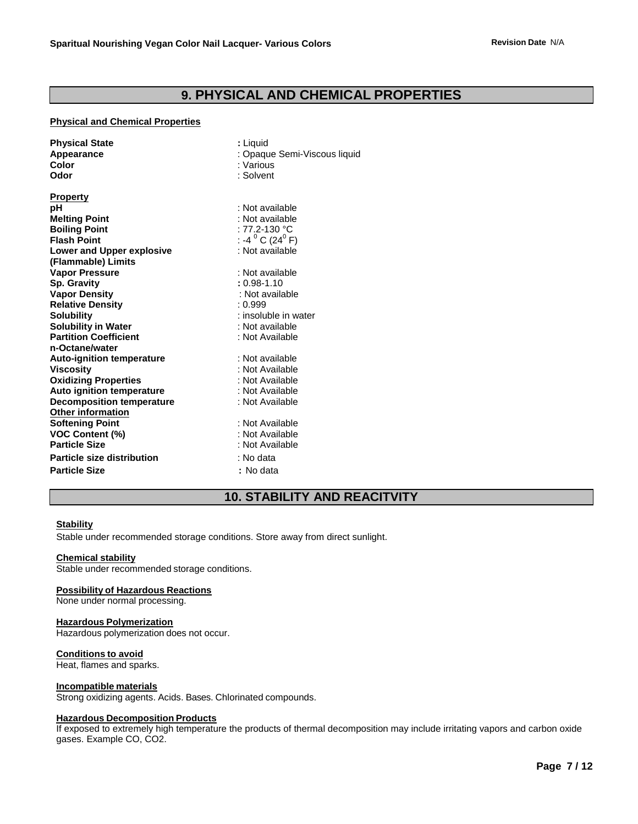# **9. PHYSICAL AND CHEMICAL PROPERTIES**

#### **Physical and Chemical Properties**

| <b>Physical State</b><br>Appearance<br>Color<br>Odor | : Liguid<br>: Opaque Semi-Viscous liquid<br>: Various<br>: Solvent |  |  |
|------------------------------------------------------|--------------------------------------------------------------------|--|--|
| <b>Property</b><br>рH                                | : Not available                                                    |  |  |
| <b>Melting Point</b>                                 | : Not available                                                    |  |  |
| <b>Boiling Point</b>                                 | : 77.2-130 °C                                                      |  |  |
| <b>Flash Point</b>                                   | : -4 $^{0}$ C (24 $^{0}$ F)                                        |  |  |
| <b>Lower and Upper explosive</b>                     | : Not available                                                    |  |  |
| (Flammable) Limits                                   |                                                                    |  |  |
| <b>Vapor Pressure</b>                                | : Not available                                                    |  |  |
| Sp. Gravity                                          | $: 0.98 - 1.10$                                                    |  |  |
| <b>Vapor Density</b>                                 | : Not available                                                    |  |  |
| <b>Relative Density</b>                              | : 0.999                                                            |  |  |
| <b>Solubility</b>                                    | : insoluble in water                                               |  |  |
| <b>Solubility in Water</b>                           | : Not available                                                    |  |  |
| <b>Partition Coefficient</b>                         | : Not Available                                                    |  |  |
| n-Octane/water                                       |                                                                    |  |  |
| <b>Auto-ignition temperature</b>                     | : Not available                                                    |  |  |
| <b>Viscosity</b>                                     | : Not Available                                                    |  |  |
| <b>Oxidizing Properties</b>                          | : Not Available                                                    |  |  |
| <b>Auto ignition temperature</b>                     | : Not Available                                                    |  |  |
| <b>Decomposition temperature</b>                     | : Not Available                                                    |  |  |
| <b>Other information</b>                             |                                                                    |  |  |
| <b>Softening Point</b>                               | : Not Available                                                    |  |  |
| <b>VOC Content (%)</b>                               | : Not Available                                                    |  |  |
| <b>Particle Size</b>                                 | : Not Available                                                    |  |  |
| <b>Particle size distribution</b>                    | : No data                                                          |  |  |
| <b>Particle Size</b>                                 | : No data                                                          |  |  |
|                                                      |                                                                    |  |  |

# **10. STABILITY AND REACITVITY**

#### **Stability**

Stable under recommended storage conditions. Store away from direct sunlight.

#### **Chemical stability**

Stable under recommended storage conditions.

#### **Possibility of Hazardous Reactions**

None under normal processing.

#### **Hazardous Polymerization**

Hazardous polymerization does not occur.

#### **Conditions to avoid**

Heat, flames and sparks.

#### **Incompatible materials**

Strong oxidizing agents. Acids. Bases. Chlorinated compounds.

#### **Hazardous Decomposition Products**

If exposed to extremely high temperature the products of thermal decomposition may include irritating vapors and carbon oxide gases. Example CO, CO2.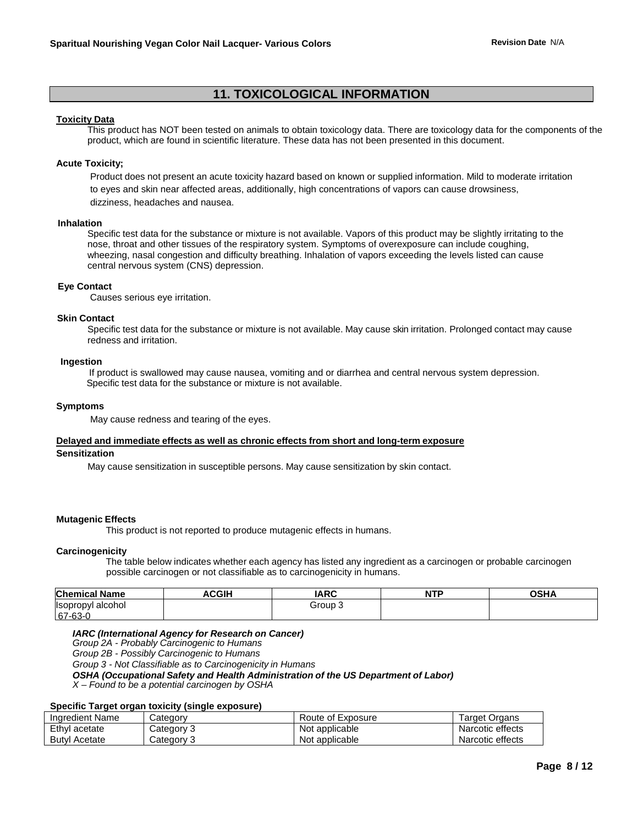# **11. TOXICOLOGICAL INFORMATION**

#### **Toxicity Data**

This product has NOT been tested on animals to obtain toxicology data. There are toxicology data for the components of the product, which are found in scientific literature. These data has not been presented in this document.

#### **Acute Toxicity;**

 Product does not present an acute toxicity hazard based on known or supplied information. Mild to moderate irritation to eyes and skin near affected areas, additionally, high concentrations of vapors can cause drowsiness, dizziness, headaches and nausea.

#### **Inhalation**

Specific test data for the substance or mixture is not available. Vapors of this product may be slightly irritating to the nose, throat and other tissues of the respiratory system. Symptoms of overexposure can include coughing, wheezing, nasal congestion and difficulty breathing. Inhalation of vapors exceeding the levels listed can cause central nervous system (CNS) depression.

#### **Eye Contact**

Causes serious eye irritation.

#### **Skin Contact**

Specific test data for the substance or mixture is not available. May cause skin irritation. Prolonged contact may cause redness and irritation.

#### **Ingestion**

 If product is swallowed may cause nausea, vomiting and or diarrhea and central nervous system depression. Specific test data for the substance or mixture is not available.

#### **Symptoms**

May cause redness and tearing of the eyes.

#### **Delayed and immediate effects as well as chronic effects from short and long-term exposure Sensitization**

May cause sensitization in susceptible persons. May cause sensitization by skin contact.

#### **Mutagenic Effects**

This product is not reported to produce mutagenic effects in humans.

#### **Carcinogenicity**

 The table below indicates whether each agency has listed any ingredient as a carcinogen or probable carcinogen possible carcinogen or not classifiable as to carcinogenicity in humans.

| <b>Chemical N</b><br><b>Name</b>  | CCIU<br>' ت<br>ווכיי | <b>IARC</b> | <b>NTP</b> | OCDA |
|-----------------------------------|----------------------|-------------|------------|------|
| <b>Isoprop</b><br>alcohol<br>opvi |                      | ourٽ        |            |      |
| - 67<br>$\sim$<br>$\sqrt{-6}$     |                      |             |            |      |

#### *IARC (International Agency for Research on Cancer)*

*Group 2A - Probably Carcinogenic to Humans*

*Group 2B - Possibly Carcinogenic to Humans*

*Group 3 - Not Classifiable as to Carcinogenicity in Humans*

*OSHA (Occupational Safety and Health Administration of the US Department of Labor)*

*X – Found to be a potential carcinogen by OSHA*

#### **Specific Target organ toxicity (single exposure)**

| Ingredient Name      | Category   | Route of Exposure | Target Organs    |
|----------------------|------------|-------------------|------------------|
| Ethyl acetate        | Category 3 | Not applicable    | Narcotic effects |
| <b>Butyl Acetate</b> | Category 3 | Not applicable    | Narcotic effects |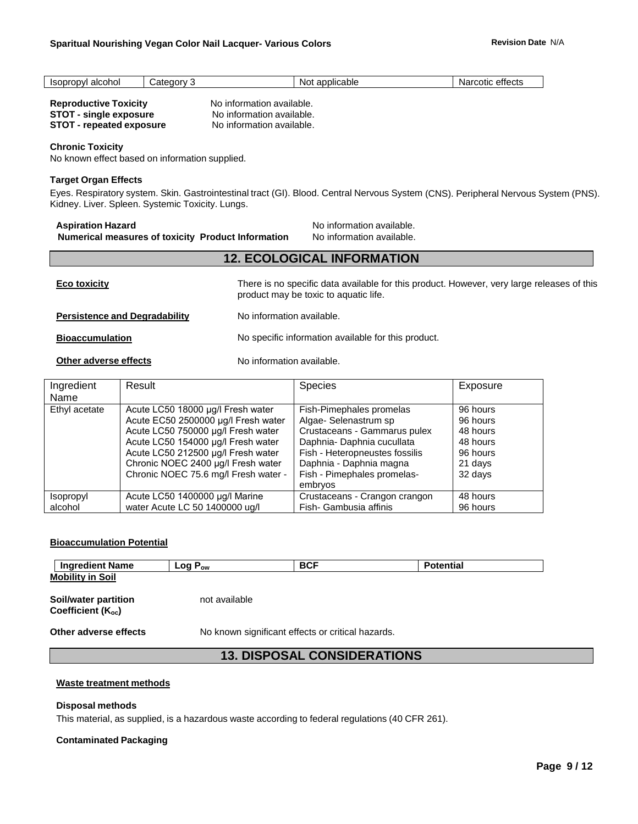| .<br>$ -$<br>onoi<br>aico | ∩∩n<br>n+<br>-<br>'الہ . | $-1$<br>icable<br>N.<br>וור | ہ†مtter<br>COUC<br>W.<br>cucu |
|---------------------------|--------------------------|-----------------------------|-------------------------------|
|                           |                          |                             |                               |

**No information available. STOT - single exposure** No information available. **No information available.** 

| <b>Reproductive Toxicity</b>    |  |
|---------------------------------|--|
| <b>STOT - single exposure</b>   |  |
| <b>STOT - repeated exposure</b> |  |

#### **Chronic Toxicity**

No known effect based on information supplied.

#### **Target Organ Effects**

Eyes. Respiratory system. Skin. Gastrointestinal tract (GI). Blood. Central Nervous System (CNS). Peripheral Nervous System (PNS). Kidney. Liver. Spleen. Systemic Toxicity. Lungs.

**Aspiration Hazard No information available.**<br>**Numerical measures of toxicity Product Information** No information available. **Numerical measures of toxicity Product Information** 

| <b>Eco toxicity</b>                  | There is no specific data available for this product. However, very large releases of this<br>product may be toxic to aquatic life. |
|--------------------------------------|-------------------------------------------------------------------------------------------------------------------------------------|
| <b>Persistence and Degradability</b> | No information available.                                                                                                           |
| <b>Bioaccumulation</b>               | No specific information available for this product.                                                                                 |
| Other adverse effects                | No information available.                                                                                                           |

**12. ECOLOGICAL INFORMATION**

| Ingredient<br>Name                 | Result                                                                                                                                                                                                                                                                   | Species                                                                                                                                                                                                               | Exposure                                                                       |
|------------------------------------|--------------------------------------------------------------------------------------------------------------------------------------------------------------------------------------------------------------------------------------------------------------------------|-----------------------------------------------------------------------------------------------------------------------------------------------------------------------------------------------------------------------|--------------------------------------------------------------------------------|
| Ethyl acetate                      | Acute LC50 18000 µg/l Fresh water<br>Acute EC50 2500000 µg/l Fresh water<br>Acute LC50 750000 µg/l Fresh water<br>Acute LC50 154000 µg/l Fresh water<br>Acute LC50 212500 µg/l Fresh water<br>Chronic NOEC 2400 µg/l Fresh water<br>Chronic NOEC 75.6 mg/l Fresh water - | Fish-Pimephales promelas<br>Algae- Selenastrum sp<br>Crustaceans - Gammarus pulex<br>Daphnia-Daphnia cucullata<br>Fish - Heteropneustes fossilis<br>Daphnia - Daphnia magna<br>Fish - Pimephales promelas-<br>embrvos | 96 hours<br>96 hours<br>48 hours<br>48 hours<br>96 hours<br>21 days<br>32 days |
| <i><b>Isopropyl</b></i><br>alcohol | Acute LC50 1400000 µg/l Marine<br>water Acute LC 50 1400000 ug/l                                                                                                                                                                                                         | Crustaceans - Crangon crangon<br>Fish- Gambusia affinis                                                                                                                                                               | 48 hours<br>96 hours                                                           |

#### **Bioaccumulation Potential**

| Ingredient Name         | ∟og P <sub>ow</sub> | <b>BCF</b> | Potential |
|-------------------------|---------------------|------------|-----------|
| <b>Mobility in Soil</b> |                     |            |           |
|                         |                     |            |           |

**Soil/water partition** not available Coefficient (K<sub>oc</sub>)

**Other adverse effects** No known significant effects or critical hazards.

# **13. DISPOSAL CONSIDERATIONS**

#### **Waste treatment methods**

#### **Disposal methods**

This material, as supplied, is a hazardous waste according to federal regulations (40 CFR 261).

#### **Contaminated Packaging**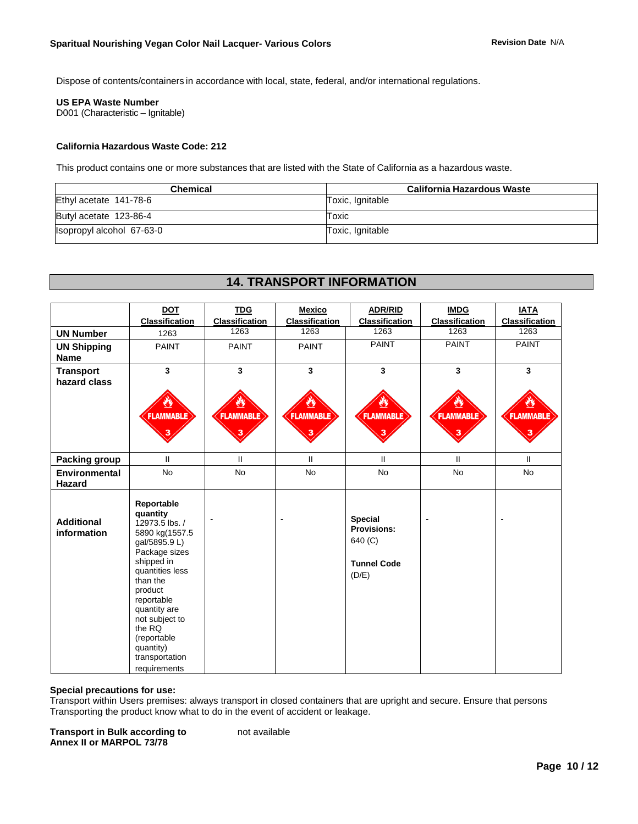Dispose of contents/containers in accordance with local, state, federal, and/or international regulations.

#### **US EPA Waste Number**

D001 (Characteristic – Ignitable)

#### **California Hazardous Waste Code: 212**

This product contains one or more substances that are listed with the State of California as a hazardous waste.

| <b>Chemical</b>           | California Hazardous Waste |
|---------------------------|----------------------------|
| Ethyl acetate 141-78-6    | Toxic, Ignitable           |
| Butyl acetate 123-86-4    | Toxic                      |
| Isopropyl alcohol 67-63-0 | Toxic, Ignitable           |

# **14. TRANSPORT INFORMATION**

|                                   | <b>DOT</b><br><b>Classification</b>                                                                                                                                                                                                                                          | <b>TDG</b><br><b>Classification</b> | <b>Mexico</b><br><b>Classification</b> | <b>ADR/RID</b><br>Classification                                               | <b>IMDG</b><br><b>Classification</b> | <b>IATA</b><br><b>Classification</b> |
|-----------------------------------|------------------------------------------------------------------------------------------------------------------------------------------------------------------------------------------------------------------------------------------------------------------------------|-------------------------------------|----------------------------------------|--------------------------------------------------------------------------------|--------------------------------------|--------------------------------------|
| <b>UN Number</b>                  | 1263                                                                                                                                                                                                                                                                         | 1263                                | 1263                                   | 1263                                                                           | 1263                                 | 1263                                 |
| <b>UN Shipping</b><br><b>Name</b> | <b>PAINT</b>                                                                                                                                                                                                                                                                 | <b>PAINT</b>                        | <b>PAINT</b>                           | <b>PAINT</b>                                                                   | <b>PAINT</b>                         | <b>PAINT</b>                         |
| <b>Transport</b><br>hazard class  | $\overline{\mathbf{3}}$                                                                                                                                                                                                                                                      | $\mathbf{3}$                        | 3                                      | 3                                                                              | $\mathbf{3}$                         | $\overline{\mathbf{3}}$              |
|                                   | <b>FLAMMABLE</b>                                                                                                                                                                                                                                                             | <b>FLAMMABLE</b>                    | <b>FLAMMABLE</b>                       | <b>FLAMMABLE</b>                                                               | <b>FLAMMABLE</b>                     | <b>FLAMMABLE</b><br>3                |
| Packing group                     | $\mathbf{I}$                                                                                                                                                                                                                                                                 | $\mathbf{H}$                        | $\mathbf{H}$                           | $\mathbf{II}$                                                                  | $\mathbf{H}$                         | $\mathbf{H}$                         |
| Environmental<br>Hazard           | <b>No</b>                                                                                                                                                                                                                                                                    | <b>No</b>                           | <b>No</b>                              | <b>No</b>                                                                      | <b>No</b>                            | <b>No</b>                            |
| <b>Additional</b><br>information  | Reportable<br>quantity<br>12973.5 lbs. /<br>5890 kg(1557.5<br>gal/5895.9 L)<br>Package sizes<br>shipped in<br>quantities less<br>than the<br>product<br>reportable<br>quantity are<br>not subject to<br>the RQ<br>(reportable<br>quantity)<br>transportation<br>requirements |                                     |                                        | <b>Special</b><br><b>Provisions:</b><br>640 (C)<br><b>Tunnel Code</b><br>(D/E) |                                      |                                      |

#### **Special precautions for use:**

Transport within Users premises: always transport in closed containers that are upright and secure. Ensure that persons Transporting the product know what to do in the event of accident or leakage.

**Transport in Bulk according to be all available Annex II or MARPOL 73/78**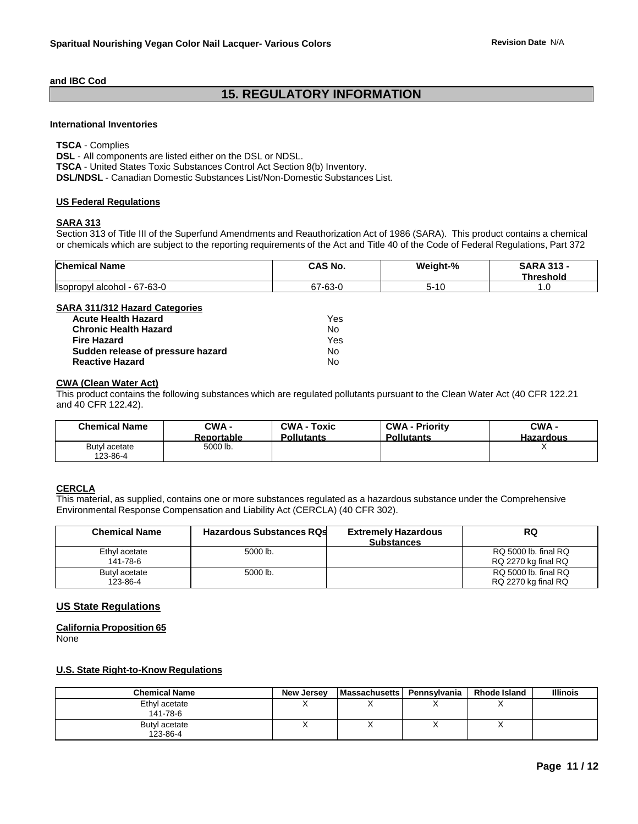#### **and IBC Cod**

# **15. REGULATORY INFORMATION**

#### **International Inventories**

**TSCA** - Complies **DSL** - All components are listed either on the DSL or NDSL. **TSCA** - United States Toxic Substances Control Act Section 8(b) Inventory. **DSL/NDSL** - Canadian Domestic Substances List/Non-Domestic Substances List.

#### **US Federal Regulations**

#### **SARA 313**

Section 313 of Title III of the Superfund Amendments and Reauthorization Act of 1986 (SARA). This product contains a chemical or chemicals which are subject to the reporting requirements of the Act and Title 40 of the Code of Federal Regulations, Part 372

| <b>Chemical Name</b>         | CAS No.                 | Weight-%  | <b>SARA 313 -</b><br><b>Threshold</b> |
|------------------------------|-------------------------|-----------|---------------------------------------|
| Ilsopropyl alcohol - 67-63-0 | $67 - 63 - C$<br>$\sim$ | ı.,<br>∽- | ט. ו                                  |

#### **SARA 311/312 Hazard Categories**

| <b>Acute Health Hazard</b>        | Yes |
|-----------------------------------|-----|
| <b>Chronic Health Hazard</b>      | N٥  |
| <b>Fire Hazard</b>                | Yes |
| Sudden release of pressure hazard | No  |
| <b>Reactive Hazard</b>            | N٥  |

#### **CWA (Clean Water Act)**

This product contains the following substances which are regulated pollutants pursuant to the Clean Water Act (40 CFR 122.21 and 40 CFR 122.42).

| <b>Chemical Name</b>      | CWA -             | <b>CWA - Toxic</b> | <b>CWA - Priority</b> | CWA -            |
|---------------------------|-------------------|--------------------|-----------------------|------------------|
|                           | <b>Reportable</b> | <b>Pollutants</b>  | <b>Pollutants</b>     | <b>Hazardous</b> |
| Butyl acetate<br>123-86-4 | 5000 lb.          |                    |                       |                  |

#### **CERCLA**

This material, as supplied, contains one or more substances regulated as a hazardous substance under the Comprehensive Environmental Response Compensation and Liability Act (CERCLA) (40 CFR 302).

| <b>Chemical Name</b>      | <b>Hazardous Substances RQs</b> | <b>Extremely Hazardous</b><br><b>Substances</b> | RQ                                          |
|---------------------------|---------------------------------|-------------------------------------------------|---------------------------------------------|
| Ethyl acetate<br>141-78-6 | 5000 lb.                        |                                                 | RQ 5000 lb. final RQ<br>RQ 2270 kg final RQ |
| Butyl acetate<br>123-86-4 | 5000 lb.                        |                                                 | RQ 5000 lb. final RQ<br>RQ 2270 kg final RQ |

#### **US State Regulations**

#### **California Proposition 65**

None

#### **U.S. State Right-to-Know Regulations**

| <b>Chemical Name</b>      | New Jersey | <b>Massachusetts</b> | Pennsvlvania | <b>Rhode Island</b> | <b>Illinois</b> |
|---------------------------|------------|----------------------|--------------|---------------------|-----------------|
| Ethyl acetate<br>141-78-6 |            |                      |              |                     |                 |
| Butyl acetate<br>123-86-4 |            |                      |              |                     |                 |